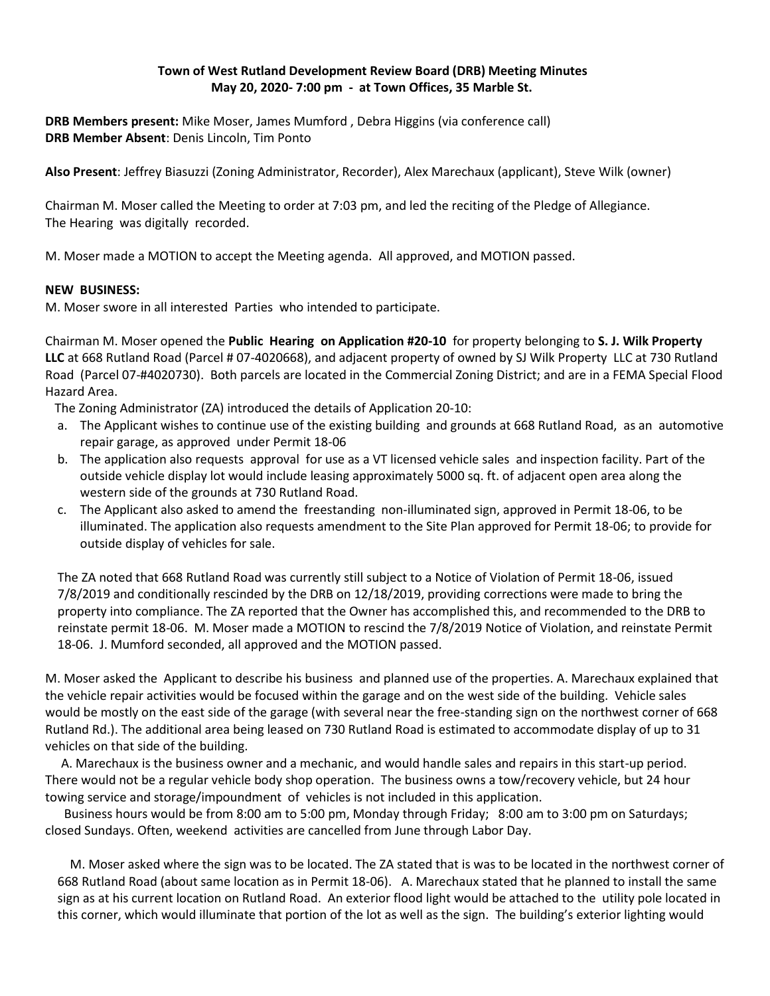# **Town of West Rutland Development Review Board (DRB) Meeting Minutes May 20, 2020- 7:00 pm - at Town Offices, 35 Marble St.**

**DRB Members present:** Mike Moser, James Mumford , Debra Higgins (via conference call) **DRB Member Absent**: Denis Lincoln, Tim Ponto

**Also Present**: Jeffrey Biasuzzi (Zoning Administrator, Recorder), Alex Marechaux (applicant), Steve Wilk (owner)

Chairman M. Moser called the Meeting to order at 7:03 pm, and led the reciting of the Pledge of Allegiance. The Hearing was digitally recorded.

M. Moser made a MOTION to accept the Meeting agenda. All approved, and MOTION passed.

# **NEW BUSINESS:**

M. Moser swore in all interested Parties who intended to participate.

Chairman M. Moser opened the **Public Hearing on Application #20-10** for property belonging to **S. J. Wilk Property LLC** at 668 Rutland Road (Parcel # 07-4020668), and adjacent property of owned by SJ Wilk Property LLC at 730 Rutland Road (Parcel 07-#4020730). Both parcels are located in the Commercial Zoning District; and are in a FEMA Special Flood Hazard Area.

The Zoning Administrator (ZA) introduced the details of Application 20-10:

- a. The Applicant wishes to continue use of the existing building and grounds at 668 Rutland Road, as an automotive repair garage, as approved under Permit 18-06
- b. The application also requests approval for use as a VT licensed vehicle sales and inspection facility. Part of the outside vehicle display lot would include leasing approximately 5000 sq. ft. of adjacent open area along the western side of the grounds at 730 Rutland Road.
- c. The Applicant also asked to amend the freestanding non-illuminated sign, approved in Permit 18-06, to be illuminated. The application also requests amendment to the Site Plan approved for Permit 18-06; to provide for outside display of vehicles for sale.

The ZA noted that 668 Rutland Road was currently still subject to a Notice of Violation of Permit 18-06, issued 7/8/2019 and conditionally rescinded by the DRB on 12/18/2019, providing corrections were made to bring the property into compliance. The ZA reported that the Owner has accomplished this, and recommended to the DRB to reinstate permit 18-06. M. Moser made a MOTION to rescind the 7/8/2019 Notice of Violation, and reinstate Permit 18-06. J. Mumford seconded, all approved and the MOTION passed.

M. Moser asked the Applicant to describe his business and planned use of the properties. A. Marechaux explained that the vehicle repair activities would be focused within the garage and on the west side of the building. Vehicle sales would be mostly on the east side of the garage (with several near the free-standing sign on the northwest corner of 668 Rutland Rd.). The additional area being leased on 730 Rutland Road is estimated to accommodate display of up to 31 vehicles on that side of the building.

 A. Marechaux is the business owner and a mechanic, and would handle sales and repairs in this start-up period. There would not be a regular vehicle body shop operation. The business owns a tow/recovery vehicle, but 24 hour towing service and storage/impoundment of vehicles is not included in this application.

 Business hours would be from 8:00 am to 5:00 pm, Monday through Friday; 8:00 am to 3:00 pm on Saturdays; closed Sundays. Often, weekend activities are cancelled from June through Labor Day.

 M. Moser asked where the sign was to be located. The ZA stated that is was to be located in the northwest corner of 668 Rutland Road (about same location as in Permit 18-06). A. Marechaux stated that he planned to install the same sign as at his current location on Rutland Road. An exterior flood light would be attached to the utility pole located in this corner, which would illuminate that portion of the lot as well as the sign. The building's exterior lighting would